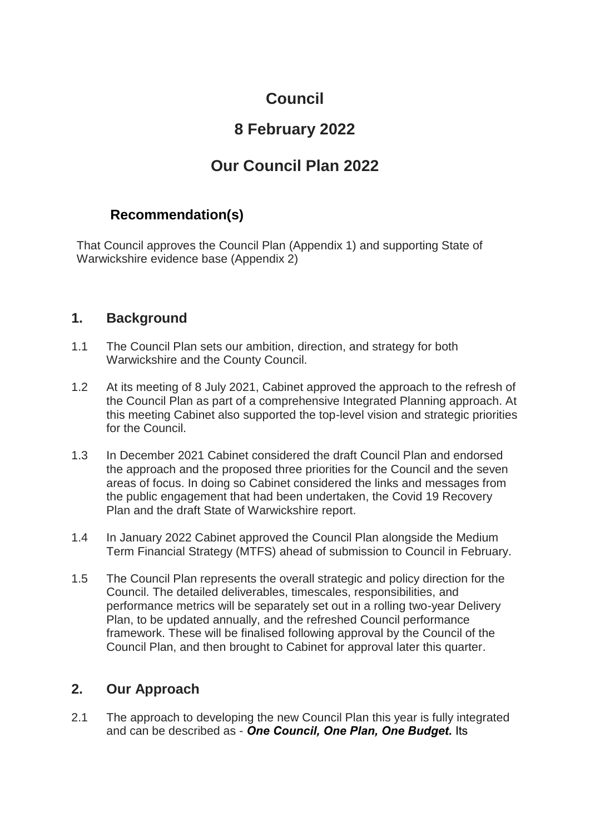# **Council**

# **8 February 2022**

# **Our Council Plan 2022**

# **Recommendation(s)**

That Council approves the Council Plan (Appendix 1) and supporting State of Warwickshire evidence base (Appendix 2)

### **1. Background**

- 1.1 The Council Plan sets our ambition, direction, and strategy for both Warwickshire and the County Council.
- 1.2 At its meeting of 8 July 2021, Cabinet approved the approach to the refresh of the Council Plan as part of a comprehensive Integrated Planning approach. At this meeting Cabinet also supported the top-level vision and strategic priorities for the Council.
- 1.3 In December 2021 Cabinet considered the draft Council Plan and endorsed the approach and the proposed three priorities for the Council and the seven areas of focus. In doing so Cabinet considered the links and messages from the public engagement that had been undertaken, the Covid 19 Recovery Plan and the draft State of Warwickshire report.
- 1.4 In January 2022 Cabinet approved the Council Plan alongside the Medium Term Financial Strategy (MTFS) ahead of submission to Council in February.
- 1.5 The Council Plan represents the overall strategic and policy direction for the Council. The detailed deliverables, timescales, responsibilities, and performance metrics will be separately set out in a rolling two-year Delivery Plan, to be updated annually, and the refreshed Council performance framework. These will be finalised following approval by the Council of the Council Plan, and then brought to Cabinet for approval later this quarter.

# **2. Our Approach**

2.1 The approach to developing the new Council Plan this year is fully integrated and can be described as - *One Council, One Plan, One Budget.* Its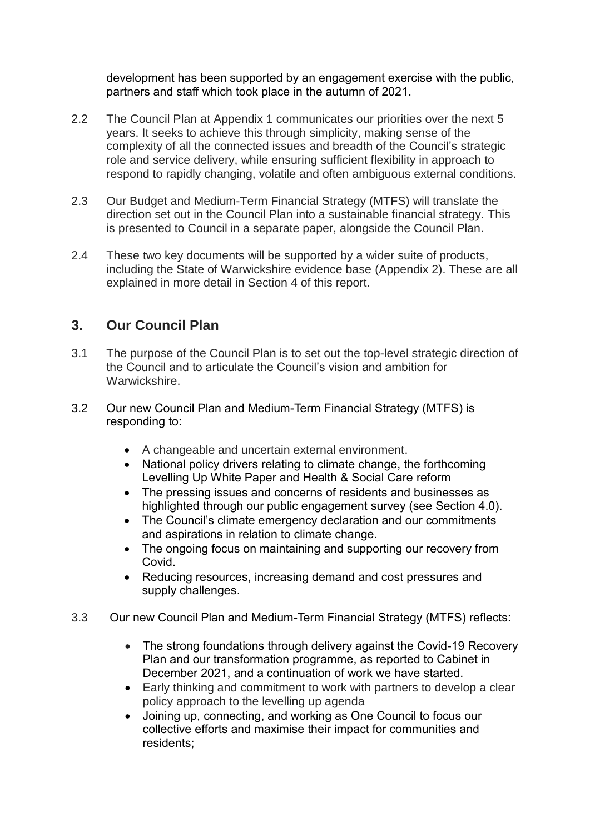development has been supported by an engagement exercise with the public, partners and staff which took place in the autumn of 2021.

- 2.2 The Council Plan at Appendix 1 communicates our priorities over the next 5 years. It seeks to achieve this through simplicity, making sense of the complexity of all the connected issues and breadth of the Council's strategic role and service delivery, while ensuring sufficient flexibility in approach to respond to rapidly changing, volatile and often ambiguous external conditions.
- 2.3 Our Budget and Medium-Term Financial Strategy (MTFS) will translate the direction set out in the Council Plan into a sustainable financial strategy. This is presented to Council in a separate paper, alongside the Council Plan.
- 2.4 These two key documents will be supported by a wider suite of products, including the State of Warwickshire evidence base (Appendix 2). These are all explained in more detail in Section 4 of this report.

# **3. Our Council Plan**

- 3.1 The purpose of the Council Plan is to set out the top-level strategic direction of the Council and to articulate the Council's vision and ambition for Warwickshire.
- 3.2 Our new Council Plan and Medium-Term Financial Strategy (MTFS) is responding to:
	- A changeable and uncertain external environment.
	- National policy drivers relating to climate change, the forthcoming Levelling Up White Paper and Health & Social Care reform
	- The pressing issues and concerns of residents and businesses as highlighted through our public engagement survey (see Section 4.0).
	- The Council's climate emergency declaration and our commitments and aspirations in relation to climate change.
	- The ongoing focus on maintaining and supporting our recovery from Covid.
	- Reducing resources, increasing demand and cost pressures and supply challenges.
- 3.3 Our new Council Plan and Medium-Term Financial Strategy (MTFS) reflects:
	- The strong foundations through delivery against the Covid-19 Recovery Plan and our transformation programme, as reported to Cabinet in December 2021, and a continuation of work we have started.
	- Early thinking and commitment to work with partners to develop a clear policy approach to the levelling up agenda
	- Joining up, connecting, and working as One Council to focus our collective efforts and maximise their impact for communities and residents;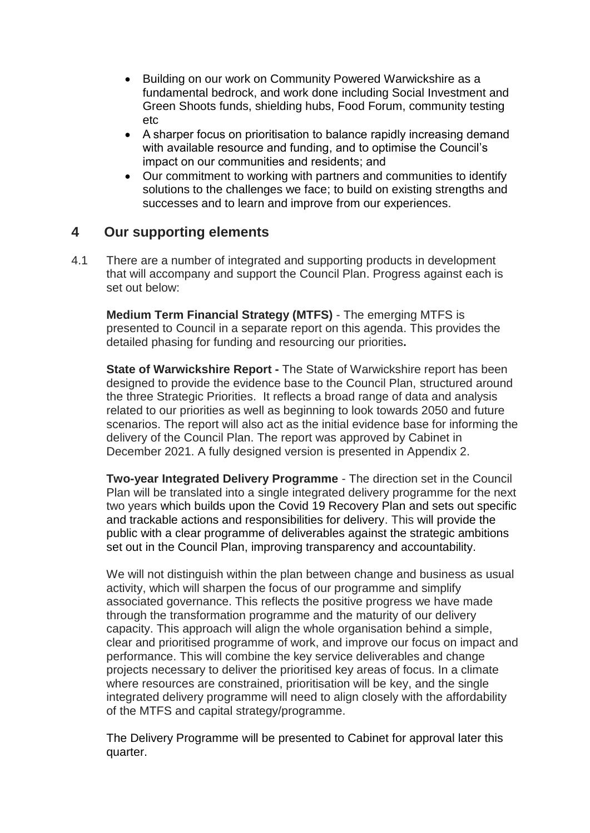- Building on our work on Community Powered Warwickshire as a fundamental bedrock, and work done including Social Investment and Green Shoots funds, shielding hubs, Food Forum, community testing etc
- A sharper focus on prioritisation to balance rapidly increasing demand with available resource and funding, and to optimise the Council's impact on our communities and residents; and
- Our commitment to working with partners and communities to identify solutions to the challenges we face; to build on existing strengths and successes and to learn and improve from our experiences.

#### **4 Our supporting elements**

4.1 There are a number of integrated and supporting products in development that will accompany and support the Council Plan. Progress against each is set out below:

**Medium Term Financial Strategy (MTFS)** - The emerging MTFS is presented to Council in a separate report on this agenda. This provides the detailed phasing for funding and resourcing our priorities**.** 

**State of Warwickshire Report -** The State of Warwickshire report has been designed to provide the evidence base to the Council Plan, structured around the three Strategic Priorities. It reflects a broad range of data and analysis related to our priorities as well as beginning to look towards 2050 and future scenarios. The report will also act as the initial evidence base for informing the delivery of the Council Plan. The report was approved by Cabinet in December 2021. A fully designed version is presented in Appendix 2.

**Two-year Integrated Delivery Programme** - The direction set in the Council Plan will be translated into a single integrated delivery programme for the next two years which builds upon the Covid 19 Recovery Plan and sets out specific and trackable actions and responsibilities for delivery. This will provide the public with a clear programme of deliverables against the strategic ambitions set out in the Council Plan, improving transparency and accountability.

We will not distinguish within the plan between change and business as usual activity, which will sharpen the focus of our programme and simplify associated governance. This reflects the positive progress we have made through the transformation programme and the maturity of our delivery capacity. This approach will align the whole organisation behind a simple, clear and prioritised programme of work, and improve our focus on impact and performance. This will combine the key service deliverables and change projects necessary to deliver the prioritised key areas of focus. In a climate where resources are constrained, prioritisation will be key, and the single integrated delivery programme will need to align closely with the affordability of the MTFS and capital strategy/programme.

The Delivery Programme will be presented to Cabinet for approval later this quarter.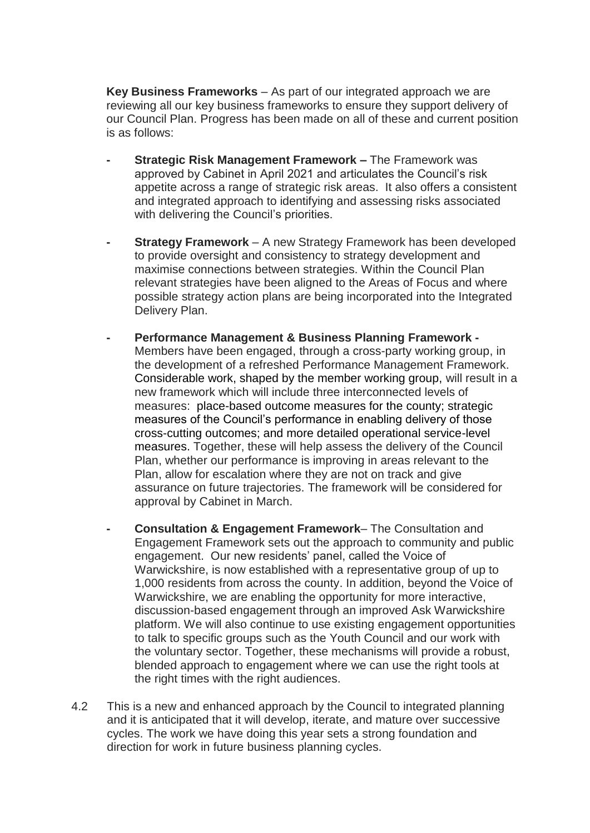**Key Business Frameworks** – As part of our integrated approach we are reviewing all our key business frameworks to ensure they support delivery of our Council Plan. Progress has been made on all of these and current position is as follows:

- **- Strategic Risk Management Framework –** The Framework was approved by Cabinet in April 2021 and articulates the Council's risk appetite across a range of strategic risk areas. It also offers a consistent and integrated approach to identifying and assessing risks associated with delivering the Council's priorities.
- **- Strategy Framework** A new Strategy Framework has been developed to provide oversight and consistency to strategy development and maximise connections between strategies. Within the Council Plan relevant strategies have been aligned to the Areas of Focus and where possible strategy action plans are being incorporated into the Integrated Delivery Plan.
- **- Performance Management & Business Planning Framework -** Members have been engaged, through a cross-party working group, in the development of a refreshed Performance Management Framework. Considerable work, shaped by the member working group, will result in a new framework which will include three interconnected levels of measures: place-based outcome measures for the county; strategic measures of the Council's performance in enabling delivery of those cross-cutting outcomes; and more detailed operational service-level measures. Together, these will help assess the delivery of the Council Plan, whether our performance is improving in areas relevant to the Plan, allow for escalation where they are not on track and give assurance on future trajectories. The framework will be considered for approval by Cabinet in March.
- **- Consultation & Engagement Framework** The Consultation and Engagement Framework sets out the approach to community and public engagement. Our new residents' panel, called the Voice of Warwickshire, is now established with a representative group of up to 1,000 residents from across the county. In addition, beyond the Voice of Warwickshire, we are enabling the opportunity for more interactive, discussion-based engagement through an improved Ask Warwickshire platform. We will also continue to use existing engagement opportunities to talk to specific groups such as the Youth Council and our work with the voluntary sector. Together, these mechanisms will provide a robust, blended approach to engagement where we can use the right tools at the right times with the right audiences.
- 4.2 This is a new and enhanced approach by the Council to integrated planning and it is anticipated that it will develop, iterate, and mature over successive cycles. The work we have doing this year sets a strong foundation and direction for work in future business planning cycles.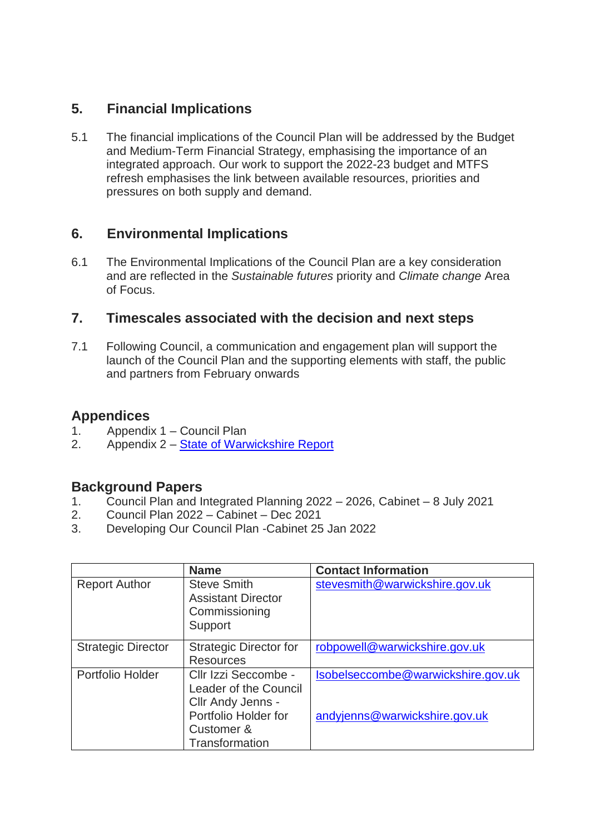# **5. Financial Implications**

5.1 The financial implications of the Council Plan will be addressed by the Budget and Medium-Term Financial Strategy, emphasising the importance of an integrated approach. Our work to support the 2022-23 budget and MTFS refresh emphasises the link between available resources, priorities and pressures on both supply and demand.

# **6. Environmental Implications**

6.1 The Environmental Implications of the Council Plan are a key consideration and are reflected in the *Sustainable futures* priority and *Climate change* Area of Focus.

### **7. Timescales associated with the decision and next steps**

7.1 Following Council, a communication and engagement plan will support the launch of the Council Plan and the supporting elements with staff, the public and partners from February onwards

### **Appendices**

- 1. Appendix 1 Council Plan
- 2. Appendix 2 [State of Warwickshire Report](https://eur02.safelinks.protection.outlook.com/?url=https%3A%2F%2Fapi.warwickshire.gov.uk%2Fdocuments%2FWCCC-808477336-676&data=04%7C01%7Cspencerpayne%40warwickshire.gov.uk%7C5890e3298da64909919208d9e0ec9b56%7C88b0aa0659274bbba89389cc2713ac82%7C0%7C0%7C637788129078329270%7CUnknown%7CTWFpbGZsb3d8eyJWIjoiMC4wLjAwMDAiLCJQIjoiV2luMzIiLCJBTiI6Ik1haWwiLCJXVCI6Mn0%3D%7C3000&sdata=ixAnDpuQhPNzGiCMTsOsNAwseUNYOBEaXmXMirwgpgA%3D&reserved=0)

#### **Background Papers**

- 1. Council Plan and Integrated Planning 2022 2026, Cabinet 8 July 2021
- 2. Council Plan 2022 Cabinet Dec 2021
- 3. Developing Our Council Plan -Cabinet 25 Jan 2022

|                           | <b>Name</b>                                                                                                                | <b>Contact Information</b>                                          |
|---------------------------|----------------------------------------------------------------------------------------------------------------------------|---------------------------------------------------------------------|
| <b>Report Author</b>      | <b>Steve Smith</b><br><b>Assistant Director</b><br>Commissioning<br>Support                                                | stevesmith@warwickshire.gov.uk                                      |
| <b>Strategic Director</b> | <b>Strategic Director for</b><br><b>Resources</b>                                                                          | robpowell@warwickshire.gov.uk                                       |
| Portfolio Holder          | Cllr Izzi Seccombe -<br>Leader of the Council<br>Cllr Andy Jenns -<br>Portfolio Holder for<br>Customer &<br>Transformation | Isobelseccombe@warwickshire.gov.uk<br>andyjenns@warwickshire.gov.uk |